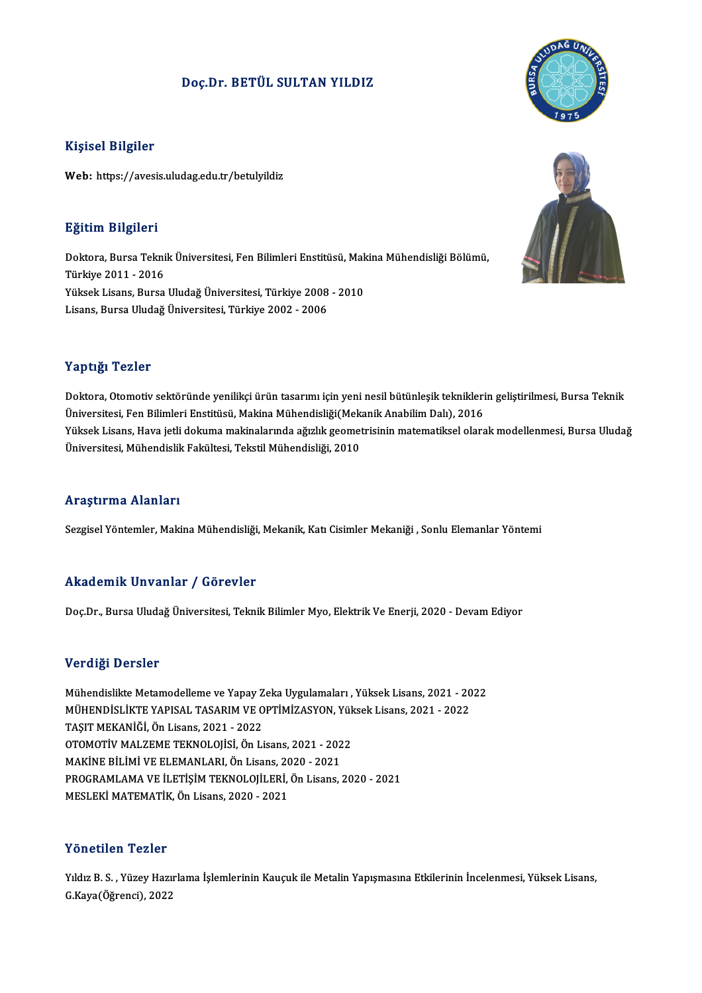## Doç.Dr. BETÜL SULTAN YILDIZ

### Kişisel Bilgiler

Web: https://avesis.uludag.edu.tr/betulyildiz

### Eğitim Bilgileri

**Eğitim Bilgileri**<br>Doktora, Bursa Teknik Üniversitesi, Fen Bilimleri Enstitüsü, Makina Mühendisliği Bölümü,<br>Türkiye 2011, ...2016 mgatum magneri<br>Doktora, Bursa Tekni<br>Türkiye 2011 - 2016<br>Vülgels Lisans, Bursa Doktora, Bursa Teknik Üniversitesi, Fen Bilimleri Enstitüsü, Mak<br>Türkiye 2011 - 2016<br>Yüksek Lisans, Bursa Uludağ Üniversitesi, Türkiye 2008 - 2010<br>Lisans, Bursa Uludağ Üniversitesi, Türkiye 2002 - 2006 Türkiye 2011 - 2016<br>Yüksek Lisans, Bursa Uludağ Üniversitesi, Türkiye 2008 - 2010<br>Lisans, Bursa Uludağ Üniversitesi, Türkiye 2002 - 2006

### Yaptığı Tezler

Yaptığı Tezler<br>Doktora, Otomotiv sektöründe yenilikçi ürün tasarımı için yeni nesil bütünleşik tekniklerin geliştirilmesi, Bursa Teknik<br>Üniversitesi, Ean Bilimleri Enstitüsü, Makina Mühandisliği(Makanik Anabilim Dalı), 201 Tüp ergi<br>Doktora, Otomotiv sektöründe yenilikçi ürün tasarımı için yeni nesil bütünleşik teknikleri<br>Üniversitesi, Fen Bilimleri Enstitüsü, Makina Mühendisliği(Mekanik Anabilim Dalı), 2016<br>Vülteek Lisens, Hava istli delayma Doktora, Otomotiv sektöründe yenilikçi ürün tasarımı için yeni nesil bütünleşik tekniklerin geliştirilmesi, Bursa Teknik<br>Üniversitesi, Fen Bilimleri Enstitüsü, Makina Mühendisliği(Mekanik Anabilim Dalı), 2016<br>Yüksek Lisans Üniversitesi, Fen Bilimleri Enstitüsü, Makina Mühendisliği(Mek<br>Yüksek Lisans, Hava jetli dokuma makinalarında ağızlık geomet<br>Üniversitesi, Mühendislik Fakültesi, Tekstil Mühendisliği, 2010 Üniversitesi, Mühendislik Fakültesi, Tekstil Mühendisliği, 2010<br>Araştırma Alanları

Sezgisel Yöntemler, Makina Mühendisliği, Mekanik, Katı Cisimler Mekaniği , Sonlu Elemanlar Yöntemi

### Akademik Unvanlar / Görevler

Doç.Dr., Bursa Uludağ Üniversitesi, Teknik Bilimler Myo, Elektrik Ve Enerji, 2020 - Devam Ediyor

### Verdiği Dersler

Verdiği Dersler<br>Mühendislikte Metamodelleme ve Yapay Zeka Uygulamaları , Yüksek Lisans, 2021 - 2022<br>MÜHENDİSLİKTE VARISAL TASARIM VE ORTİMİZASYON Yüksek Lisans, 2021 - 2022 VOLUIST DOLUIOI<br>Mühendislikte Metamodelleme ve Yapay Zeka Uygulamaları , Yüksek Lisans, 2021 - 20<br>MÜHENDİSLİKTE YAPISAL TASARIM VE OPTİMİZASYON, Yüksek Lisans, 2021 - 2022 Mühendislikte Metamodelleme ve Yapay Z<br>MÜHENDİSLİKTE YAPISAL TASARIM VE O<br>TAŞIT MEKANİĞİ, Ön Lisans, 2021 - 2022<br>OTOMOTİV MALZEME TEKNOLOJİSL Ön Li MÜHENDİSLİKTE YAPISAL TASARIM VE OPTİMİZASYON, Yük<br>TAŞIT MEKANİĞİ, Ön Lisans, 2021 - 2022<br>OTOMOTİV MALZEME TEKNOLOJİSİ, Ön Lisans, 2021 - 2022<br>MAKİNE BİLİMİ VE ELEMANLARL Ön Lisans, 2020 - 2021 TAŞIT MEKANİĞİ, Ön Lisans, 2021 - 2022<br>OTOMOTİV MALZEME TEKNOLOJİSİ, Ön Lisans, 2021 - 2022 PROGRAMLAMA VE İLETİŞİM TEKNOLOJİLERİ, Ön Lisans, 2020 - 2021<br>MESLEKİ MATEMATİK, Ön Lisans, 2020 - 2021 MAKİNE BİLİMİ VE ELEMANLARI, Ön Lisans, 2020 - 2021

### Yönetilen Tezler

Yıldız B.S., Yüzey Hazırlama İşlemlerinin Kauçuk ile Metalin Yapışmasına Etkilerinin İncelenmesi, Yüksek Lisans, G.Kaya(Öğrenci),2022



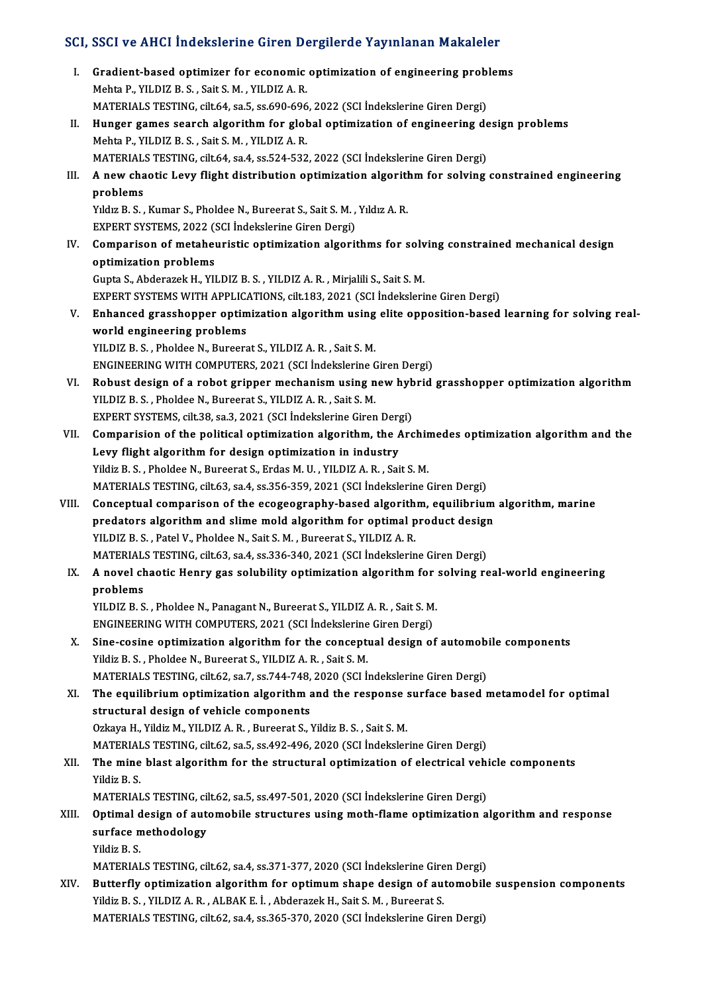# SCI, SSCI ve AHCI İndekslerine Giren Dergilerde Yayınlanan Makaleler<br>.

|       | SCI, SSCI ve AHCI İndekslerine Giren Dergilerde Yayınlanan Makaleler                                |
|-------|-----------------------------------------------------------------------------------------------------|
| Ь.    | Gradient-based optimizer for economic optimization of engineering problems                          |
|       | Mehta P., YILDIZ B. S., Sait S. M., YILDIZ A. R.                                                    |
|       | MATERIALS TESTING, cilt.64, sa.5, ss.690-696, 2022 (SCI Indekslerine Giren Dergi)                   |
| П.    | Hunger games search algorithm for global optimization of engineering design problems                |
|       | Mehta P., YILDIZ B. S., Sait S. M., YILDIZ A. R.                                                    |
|       | MATERIALS TESTING, cilt.64, sa.4, ss.524-532, 2022 (SCI Indekslerine Giren Dergi)                   |
| III.  | A new chaotic Levy flight distribution optimization algorithm for solving constrained engineering   |
|       | problems                                                                                            |
|       | Yıldız B. S., Kumar S., Pholdee N., Bureerat S., Sait S. M., Yıldız A. R.                           |
|       | EXPERT SYSTEMS, 2022 (SCI İndekslerine Giren Dergi)                                                 |
| IV.   | Comparison of metaheuristic optimization algorithms for solving constrained mechanical design       |
|       | optimization problems                                                                               |
|       | Gupta S., Abderazek H., YILDIZ B. S., YILDIZ A. R., Mirjalili S., Sait S. M.                        |
|       | EXPERT SYSTEMS WITH APPLICATIONS, cilt.183, 2021 (SCI Indekslerine Giren Dergi)                     |
| V.    | Enhanced grasshopper optimization algorithm using elite opposition-based learning for solving real- |
|       | world engineering problems                                                                          |
|       | YILDIZ B. S., Pholdee N., Bureerat S., YILDIZ A. R., Sait S. M.                                     |
|       | ENGINEERING WITH COMPUTERS, 2021 (SCI İndekslerine Giren Dergi)                                     |
| VI.   | Robust design of a robot gripper mechanism using new hybrid grasshopper optimization algorithm      |
|       | YILDIZ B. S., Pholdee N., Bureerat S., YILDIZ A. R., Sait S. M.                                     |
|       | EXPERT SYSTEMS, cilt.38, sa.3, 2021 (SCI Indekslerine Giren Dergi)                                  |
| VII.  | Comparision of the political optimization algorithm, the Archimedes optimization algorithm and the  |
|       | Levy flight algorithm for design optimization in industry                                           |
|       | Yildiz B. S., Pholdee N., Bureerat S., Erdas M. U., YILDIZ A. R., Sait S. M.                        |
|       | MATERIALS TESTING, cilt.63, sa.4, ss.356-359, 2021 (SCI Indekslerine Giren Dergi)                   |
| VIII. | Conceptual comparison of the ecogeography-based algorithm, equilibrium algorithm, marine            |
|       | predators algorithm and slime mold algorithm for optimal product design                             |
|       | YILDIZ B. S., Patel V., Pholdee N., Sait S. M., Bureerat S., YILDIZ A. R.                           |
|       | MATERIALS TESTING, cilt.63, sa.4, ss.336-340, 2021 (SCI Indekslerine Giren Dergi)                   |
| IX.   | A novel chaotic Henry gas solubility optimization algorithm for solving real-world engineering      |
|       | problems                                                                                            |
|       | YILDIZ B. S., Pholdee N., Panagant N., Bureerat S., YILDIZ A. R., Sait S. M.                        |
|       | ENGINEERING WITH COMPUTERS, 2021 (SCI İndekslerine Giren Dergi)                                     |
| X.    | Sine-cosine optimization algorithm for the conceptual design of automobile components               |
|       | Yildiz B. S., Pholdee N., Bureerat S., YILDIZ A. R., Sait S. M.                                     |
|       | MATERIALS TESTING, cilt.62, sa.7, ss.744-748, 2020 (SCI Indekslerine Giren Dergi)                   |
| XI.   | The equilibrium optimization algorithm and the response surface based metamodel for optimal         |
|       | structural design of vehicle components                                                             |
|       | Ozkaya H., Yildiz M., YILDIZ A. R., Bureerat S., Yildiz B. S., Sait S. M.                           |
|       | MATERIALS TESTING, cilt.62, sa.5, ss.492-496, 2020 (SCI Indekslerine Giren Dergi)                   |
| XII.  | The mine blast algorithm for the structural optimization of electrical vehicle components           |
|       | Yildiz B S                                                                                          |
|       | MATERIALS TESTING, cilt.62, sa.5, ss.497-501, 2020 (SCI Indekslerine Giren Dergi)                   |
| XIII. | Optimal design of automobile structures using moth-flame optimization algorithm and response        |
|       | surface methodology                                                                                 |
|       | Yildiz B.S.                                                                                         |
|       | MATERIALS TESTING, cilt.62, sa.4, ss.371-377, 2020 (SCI Indekslerine Giren Dergi)                   |
| XIV.  | Butterfly optimization algorithm for optimum shape design of automobile suspension components       |
|       | Yildiz B. S., YILDIZ A. R., ALBAK E. İ., Abderazek H., Sait S. M., Bureerat S.                      |
|       | MATERIALS TESTING, cilt.62, sa.4, ss.365-370, 2020 (SCI Indekslerine Giren Dergi)                   |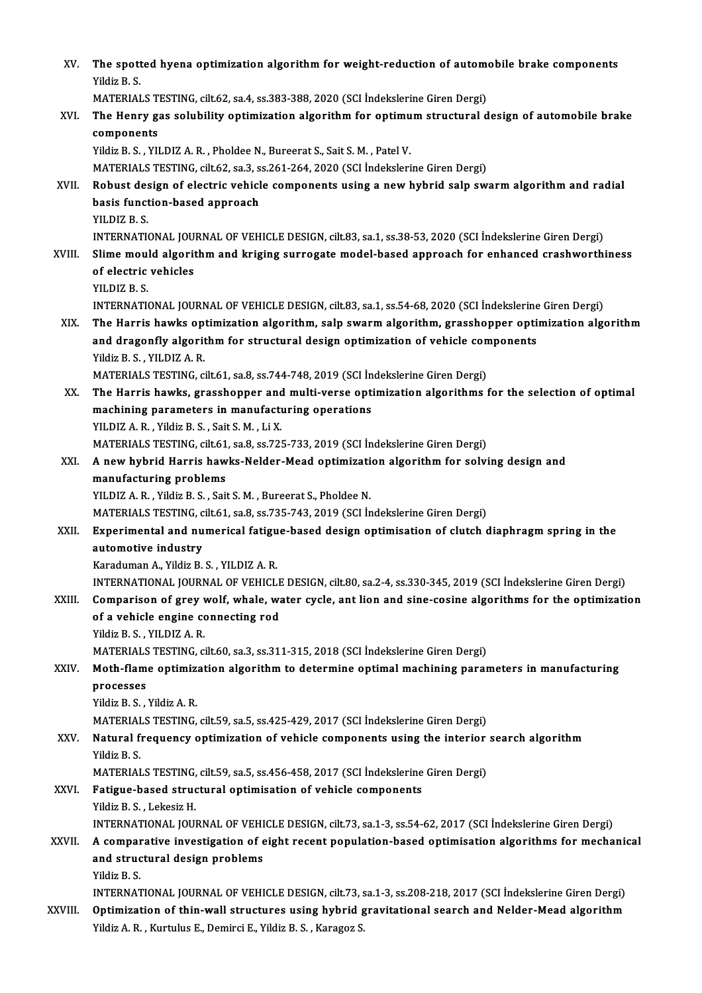| XV.     | The spotted hyena optimization algorithm for weight-reduction of automobile brake components                                       |
|---------|------------------------------------------------------------------------------------------------------------------------------------|
|         | Yildiz B.S.                                                                                                                        |
|         | MATERIALS TESTING, cilt.62, sa.4, ss.383-388, 2020 (SCI Indekslerine Giren Dergi)                                                  |
| XVI.    | The Henry gas solubility optimization algorithm for optimum structural design of automobile brake                                  |
|         | components                                                                                                                         |
|         | Yildiz B. S., YILDIZ A. R., Pholdee N., Bureerat S., Sait S. M., Patel V.                                                          |
|         | MATERIALS TESTING, cilt.62, sa.3, ss.261-264, 2020 (SCI Indekslerine Giren Dergi)                                                  |
| XVII.   | Robust design of electric vehicle components using a new hybrid salp swarm algorithm and radial                                    |
|         | basis function-based approach                                                                                                      |
|         | YILDIZ B.S.                                                                                                                        |
|         | INTERNATIONAL JOURNAL OF VEHICLE DESIGN, cilt.83, sa.1, ss.38-53, 2020 (SCI İndekslerine Giren Dergi)                              |
| XVIII.  | Slime mould algorithm and kriging surrogate model-based approach for enhanced crashworthiness                                      |
|         | of electric vehicles                                                                                                               |
|         | YILDIZ B.S.                                                                                                                        |
|         | INTERNATIONAL JOURNAL OF VEHICLE DESIGN, cilt.83, sa.1, ss.54-68, 2020 (SCI Indekslerine Giren Dergi)                              |
| XIX.    | The Harris hawks optimization algorithm, salp swarm algorithm, grasshopper optimization algorithm                                  |
|         | and dragonfly algorithm for structural design optimization of vehicle components                                                   |
|         | Yildiz B. S., YILDIZ A. R.                                                                                                         |
|         | MATERIALS TESTING, cilt.61, sa.8, ss.744-748, 2019 (SCI Indekslerine Giren Dergi)                                                  |
| XX.     | The Harris hawks, grasshopper and multi-verse optimization algorithms for the selection of optimal                                 |
|         | machining parameters in manufacturing operations                                                                                   |
|         | YILDIZ A. R., Yildiz B. S., Sait S. M., Li X.<br>MATERIALS TESTING, cilt.61, sa.8, ss.725-733, 2019 (SCI Indekslerine Giren Dergi) |
| XXI.    | A new hybrid Harris hawks-Nelder-Mead optimization algorithm for solving design and                                                |
|         | manufacturing problems                                                                                                             |
|         | YILDIZ A. R., Yildiz B. S., Sait S. M., Bureerat S., Pholdee N.                                                                    |
|         | MATERIALS TESTING, cilt.61, sa.8, ss.735-743, 2019 (SCI Indekslerine Giren Dergi)                                                  |
| XXII.   | Experimental and numerical fatigue-based design optimisation of clutch diaphragm spring in the                                     |
|         | automotive industry                                                                                                                |
|         | Karaduman A., Yildiz B. S., YILDIZ A. R.                                                                                           |
|         | INTERNATIONAL JOURNAL OF VEHICLE DESIGN, cilt.80, sa.2-4, ss.330-345, 2019 (SCI İndekslerine Giren Dergi)                          |
| XXIII.  | Comparison of grey wolf, whale, water cycle, ant lion and sine-cosine algorithms for the optimization                              |
|         | of a vehicle engine connecting rod                                                                                                 |
|         | Yildiz B. S., YILDIZ A. R.                                                                                                         |
|         | MATERIALS TESTING, cilt.60, sa.3, ss.311-315, 2018 (SCI Indekslerine Giren Dergi)                                                  |
| XXIV.   | Moth-flame optimization algorithm to determine optimal machining parameters in manufacturing                                       |
|         | processes                                                                                                                          |
|         | Yildiz B. S., Yildiz A. R.<br>MATERIALS TESTING, cilt.59, sa.5, ss.425-429, 2017 (SCI Indekslerine Giren Dergi)                    |
| XXV.    | Natural frequency optimization of vehicle components using the interior search algorithm                                           |
|         | Yildiz B.S.                                                                                                                        |
|         | MATERIALS TESTING, cilt 59, sa 5, ss 456-458, 2017 (SCI Indekslerine Giren Dergi)                                                  |
| XXVI.   | Fatigue-based structural optimisation of vehicle components                                                                        |
|         | Yildiz B. S., Lekesiz H.                                                                                                           |
|         | INTERNATIONAL JOURNAL OF VEHICLE DESIGN, cilt.73, sa.1-3, ss.54-62, 2017 (SCI İndekslerine Giren Dergi)                            |
| XXVII.  | A comparative investigation of eight recent population-based optimisation algorithms for mechanical                                |
|         | and structural design problems                                                                                                     |
|         | Yildiz B.S.                                                                                                                        |
|         | INTERNATIONAL JOURNAL OF VEHICLE DESIGN, cilt.73, sa.1-3, ss.208-218, 2017 (SCI İndekslerine Giren Dergi)                          |
| XXVIII. | Optimization of thin-wall structures using hybrid gravitational search and Nelder-Mead algorithm                                   |
|         | Yildiz A. R., Kurtulus E., Demirci E., Yildiz B. S., Karagoz S.                                                                    |
|         |                                                                                                                                    |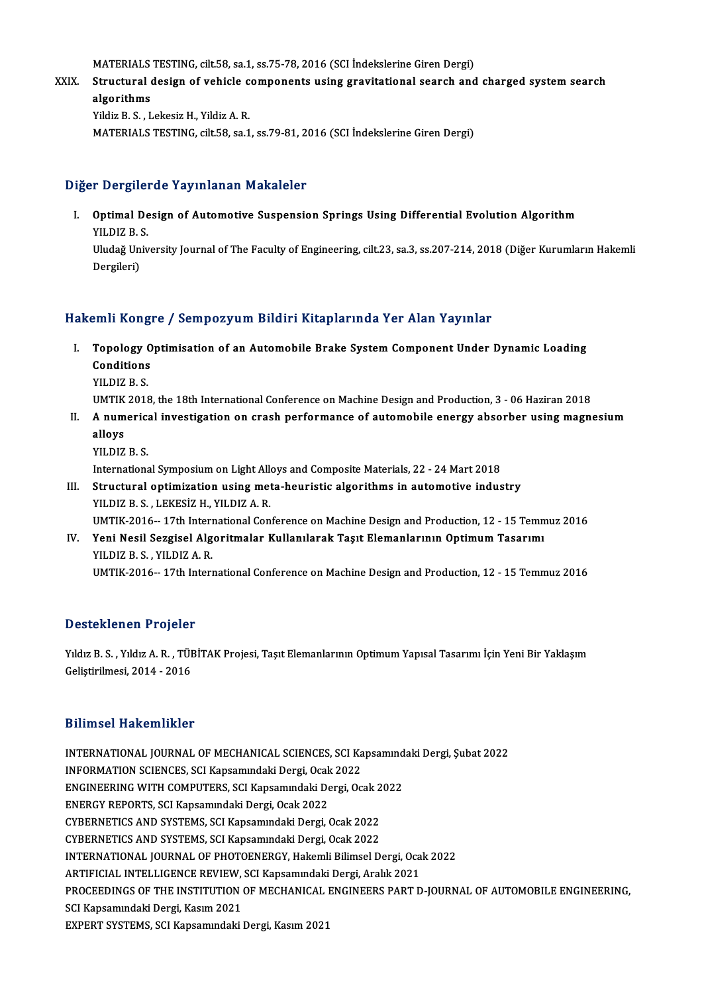MATERIALS TESTING, cilt.58, sa.1, ss.75-78, 2016 (SCI İndekslerine Giren Dergi)

MATERIALS TESTING, cilt.58, sa.1, ss.75-78, 2016 (SCI İndekslerine Giren Dergi)<br>XXIX. Structural design of vehicle components using gravitational search and charged system search MATERIALS<br>Structural<br>algorithms<br><sup>Vildir P.S. I</sub></sup> Structural design of vehicle c<br>algorithms<br>Yildiz B. S. , Lekesiz H., Yildiz A. R.<br>MATERIAL S TESTING silt 59 so 1 **algorithms**<br>Yildiz B. S. , Lekesiz H., Yildiz A. R.<br>MATERIALS TESTING, cilt.58, sa.1, ss.79-81, 2016 (SCI İndekslerine Giren Dergi)

### Diğer Dergilerde Yayınlanan Makaleler

Iger Dergilerde Yayınlanan Makaleler<br>I. Optimal Design of Automotive Suspension Springs Using Differential Evolution Algorithm<br>VILDIZ B. S Processes<br>Optimal De<br>YILDIZ B. S. Optimal Design of Automotive Suspension Springs Using Differential Evolution Algorithm<br>YILDIZ B. S.<br>Uludağ University Journal of The Faculty of Engineering, cilt.23, sa.3, ss.207-214, 2018 (Diğer Kurumların Hakemli<br>Dergile

YILDIZ B. !<br>Uludağ Un<br>Dergileri)

# Dergileri)<br>Hakemli Kongre / Sempozyum Bildiri Kitaplarında Yer Alan Yayınlar

- akemli Kongre / Sempozyum Bildiri Kitaplarında Yer Alan Yayınlar<br>I. Topology Optimisation of an Automobile Brake System Component Under Dynamic Loading<br>Conditions Topology 0<br>Topology 0<br>Conditions<br>VILDIZ B. S Topology<br>Conditions<br>YILDIZ B. S.<br>UMTIK 2019 Conditions<br>1990 - YILDIZ B. S.<br>UMTIK 2018, the 18th International Conference on Machine Design and Production, 3 - 06 Haziran
	-

- YILDIZ B. S.<br>UMTIK 2018, the 18th International Conference on Machine Design and Production, 3 06 Haziran 2018<br>II. A numerical investigation on crash performance of automobile energy absorber using magnesium UMTIK<br><mark>A num</mark><br>vu niz A numerica<br>alloys<br>YILDIZ B. S.<br>Internations alloys<br>YILDIZ B. S.<br>International Symposium on Light Alloys and Composite Materials, 22 - 24 Mart 2018<br>Strugtural ontimization using mate houristic algorithms in automative indus
	-

- YILDIZ B. S.<br>International Symposium on Light Alloys and Composite Materials, 22 24 Mart 2018<br>III. Structural optimization using meta-heuristic algorithms in automotive industry<br>YILDIZ B. S. , LEKESIZ H., YILDIZ A. R. International Symposium on Light Allender<br>Structural optimization using met<br>YILDIZ B. S. , LEKESİZ H., YILDIZ A. R.<br>UMTIK 2016 - 17th International Con Structural optimization using meta-heuristic algorithms in automotive industry<br>YILDIZ B. S. , LEKESİZ H., YILDIZ A. R.<br>UMTIK-2016-- 17th International Conference on Machine Design and Production, 12 - 15 Temmuz 2016<br>Yoni N
- IV. Yeni Nesil Sezgisel Algoritmalar Kullanılarak Taşıt Elemanlarının Optimum Tasarımı<br>YILDIZ B. S., YILDIZ A. R. UMTIK-2016-- 17th Intern<br>Yeni Nesil Sezgisel Alg<br>YILDIZ B. S. , YILDIZ A. R.<br>UMTIK 2016 - 17th Intern UMTIK-2016-- 17th International Conference on Machine Design and Production, 12 - 15 Temmuz 2016

### Desteklenen Projeler

Desteklenen Projeler<br>Yıldız B. S. , Yıldız A. R. , TÜBİTAK Projesi, Taşıt Elemanlarının Optimum Yapısal Tasarımı İçin Yeni Bir Yaklaşım<br>Celistirilmesi, 2014, , 2016 Belistinilmesi, 2014<br>Yıldız B. S. , Yıldız A. R. , TÜF<br>Geliştirilmesi, 2014 - 2016

## Geliştirilmesi, 2014 - 2016<br>Bilimsel Hakemlikler

Bilimsel Hakemlikler<br>INTERNATIONAL JOURNAL OF MECHANICAL SCIENCES, SCI Kapsamındaki Dergi, Şubat 2022<br>INFORMATION SCIENCES, SCI Kapsamındaki Dergi, Qsak 2022 BAHHDOF HUROMAHRDA<br>INTERNATIONAL JOURNAL OF MECHANICAL SCIENCES, SCI Ka<br>INFORMATION SCIENCES, SCI Kapsamındaki Dergi, Ocak 2022<br>ENCINEERING WITH COMBUTERS, SCI Kapsamındaki Dergi, Oc INTERNATIONAL JOURNAL OF MECHANICAL SCIENCES, SCI Kapsamınd<br>INFORMATION SCIENCES, SCI Kapsamındaki Dergi, Ocak 2022<br>ENGINEERING WITH COMPUTERS, SCI Kapsamındaki Dergi, Ocak 2022<br>ENEDCY REPORTS, SCI Kapsamındaki Dergi, Osak INFORMATION SCIENCES, SCI Kapsamındaki Dergi, Ocak 2022<br>ENGINEERING WITH COMPUTERS, SCI Kapsamındaki Dergi, Ocak 2022<br>ENERGY REPORTS, SCI Kapsamındaki Dergi, Ocak 2022 ENGINEERING WITH COMPUTERS, SCI Kapsamındaki Dergi, Ocak 2<br>ENERGY REPORTS, SCI Kapsamındaki Dergi, Ocak 2022<br>CYBERNETICS AND SYSTEMS, SCI Kapsamındaki Dergi, Ocak 2022<br>CYBERNETICS AND SYSTEMS, SCI Kapsamındaki Dergi, Ocak ENERGY REPORTS, SCI Kapsamındaki Dergi, Ocak 2022<br>CYBERNETICS AND SYSTEMS, SCI Kapsamındaki Dergi, Ocak 2022<br>CYBERNETICS AND SYSTEMS, SCI Kapsamındaki Dergi, Ocak 2022<br>INTERNATIONAL JOURNAL OF BHOTOENERCY Halsmli Bilimsal CYBERNETICS AND SYSTEMS, SCI Kapsamındaki Dergi, Ocak 2022<br>CYBERNETICS AND SYSTEMS, SCI Kapsamındaki Dergi, Ocak 2022<br>INTERNATIONAL JOURNAL OF PHOTOENERGY, Hakemli Bilimsel Dergi, Ocak 2022<br>APTIEICIAL INTELLICENCE BEVIEW, CYBERNETICS AND SYSTEMS, SCI Kapsamındaki Dergi, Ocak 2022<br>INTERNATIONAL JOURNAL OF PHOTOENERGY, Hakemli Bilimsel Dergi, Oca<br>ARTIFICIAL INTELLIGENCE REVIEW, SCI Kapsamındaki Dergi, Aralık 2021<br>PROCEEDINCS OF THE INSTITUTIO INTERNATIONAL JOURNAL OF PHOTOENERGY, Hakemli Bilimsel Dergi, Ocak 2022<br>ARTIFICIAL INTELLIGENCE REVIEW, SCI Kapsamındaki Dergi, Aralık 2021<br>PROCEEDINGS OF THE INSTITUTION OF MECHANICAL ENGINEERS PART D-JOURNAL OF AUTOMOBIL ARTIFICIAL INTELLIGENCE REVIEW,<br>PROCEEDINGS OF THE INSTITUTION<br>SCI Kapsamındaki Dergi, Kasım 2021<br>EYBERT SYSTEMS, SCI Kapsamındaki i PROCEEDINGS OF THE INSTITUTION OF MECHANICAL I<br>SCI Kapsamındaki Dergi, Kasım 2021<br>EXPERT SYSTEMS, SCI Kapsamındaki Dergi, Kasım 2021